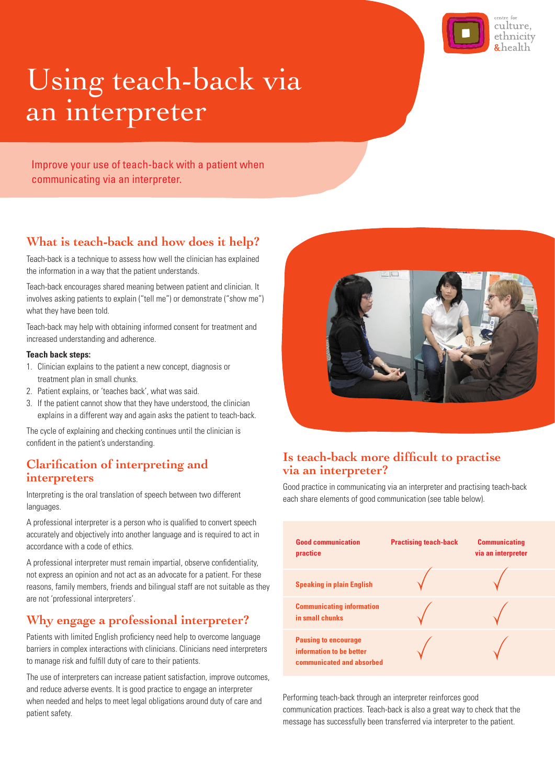

# Using teach-back via an interpreter

Improve your use of teach-back with a patient when communicating via an interpreter.

## **It also to enhance the services planning and practice for staff**  $\frac{1}{2}$  **and**  $\frac{1}{2}$  **and**  $\frac{1}{2}$  **and**  $\frac{1}{2}$  **and**  $\frac{1}{2}$  **and**  $\frac{1}{2}$  **and**  $\frac{1}{2}$  **and**  $\frac{1}{2}$  **and**  $\frac{1}{2}$  **and**  $\frac{1}{2}$  **and**  $\frac{1}{2}$  **and \frac**

Teach-back is a technique to assess how well the clinician has explained the information in a way that the patient understands.

Teach-back encourages shared meaning between patient and clinician. It involves asking patients to explain ("tell me") or demonstrate ("show me") what they have been told.

Teach-back may help with obtaining informed consent for treatment and increased understanding and adherence.

#### **Teach back steps:**

- 1. Clinician explains to the patient a new concept, diagnosis or treatment plan in small chunks.
- 2. Patient explains, or 'teaches back', what was said.
- 3. If the patient cannot show that they have understood, the clinician explains in a different way and again asks the patient to teach-back.

confident in the patient's understanding. The cycle of explaining and checking continues until the clinician is

## **Clarification of interpreting and interpreters**

Interpreting is the oral translation of speech between two different example and the oral translation of speech between two different languages.

 $\mathcal{A}$  is a professional who is a professional who is a professional who is a professional who is a professional who is a professional who is a professional who is a professional who is a professional who is a professio A professional interpreter is a person who is qualified to convert speech A protessional interpreter is a person who is qualitied to convert speech<br>accurately and objectively into another language and is required to act in accordance with a code of ethics. accurately and objectively into another language and is required to act in<br>accordance with a code of ethics.

A professional interpreter must remain impartial, observe confidentiality, interpress an opinion and not act as an advocate for a patient. For these reasons, family members, friends and bilingual staff are not suitable as they **Speaking in plain** reasons, family members, members, friends and binn are not 'professional interpreters'. Translators (AUSIT) websites.

#### Why engage a profession Why engage a professional interpreter? **Example 1** in small ch

Patients with limited English proficiency need help to overcome language rationto with immediating pronoionty no barriers in complex interactions with eith to manage risk and fulfill duty of care to their patients. barriers in complex interactions with clinicians. Clinicians need interpreters **information to be be** 

The use of interpreters can increase patient satisfaction, improve outcomes, and reduce adverse events. It is good practice to engage an interpreter when needed and helps to meet legal obligations around duty of care and patient safety.



#### **Is teach-back more difficult to practise Tip:** Find out of the via an interpreter?  $T_{\rm eff}$  are three ways of communicating with with  $\alpha$

communicating via an interpreter and practising teach-back<br>
Good practice in communicating via an interpreter and practising teach-back each share elements of good communication (see table below).



ye an interpreter<br>ind duty of care and leter Performing teach-back through an interpreter reinforces good and duty of care and<br>communication practices. Teach-back is also a great way to check that the message has successfully been transferred via interpreter to the patient. to see keel out in the seek out in the seek of the seek out in the seek of the seek of the seek of the seek of